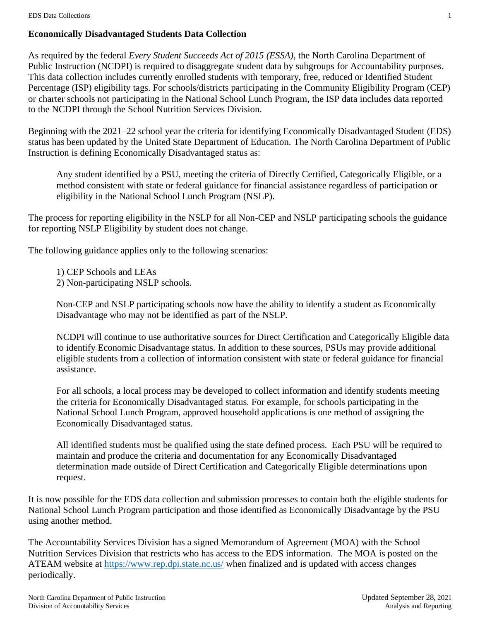### **Economically Disadvantaged Students Data Collection**

As required by the federal *Every Student Succeeds Act of 2015 (ESSA)*, the North Carolina Department of Public Instruction (NCDPI) is required to disaggregate student data by subgroups for Accountability purposes. This data collection includes currently enrolled students with temporary, free, reduced or Identified Student Percentage (ISP) eligibility tags. For schools/districts participating in the Community Eligibility Program (CEP) or charter schools not participating in the National School Lunch Program, the ISP data includes data reported to the NCDPI through the School Nutrition Services Division.

Beginning with the 2021–22 school year the criteria for identifying Economically Disadvantaged Student (EDS) status has been updated by the United State Department of Education. The North Carolina Department of Public Instruction is defining Economically Disadvantaged status as:

Any student identified by a PSU, meeting the criteria of Directly Certified, Categorically Eligible, or a method consistent with state or federal guidance for financial assistance regardless of participation or eligibility in the National School Lunch Program (NSLP).

The process for reporting eligibility in the NSLP for all Non-CEP and NSLP participating schools the guidance for reporting NSLP Eligibility by student does not change.

The following guidance applies only to the following scenarios:

- 1) CEP Schools and LEAs
- 2) Non-participating NSLP schools.

Non-CEP and NSLP participating schools now have the ability to identify a student as Economically Disadvantage who may not be identified as part of the NSLP.

NCDPI will continue to use authoritative sources for Direct Certification and Categorically Eligible data to identify Economic Disadvantage status. In addition to these sources, PSUs may provide additional eligible students from a collection of information consistent with state or federal guidance for financial assistance.

For all schools, a local process may be developed to collect information and identify students meeting the criteria for Economically Disadvantaged status. For example, for schools participating in the National School Lunch Program, approved household applications is one method of assigning the Economically Disadvantaged status.

All identified students must be qualified using the state defined process. Each PSU will be required to maintain and produce the criteria and documentation for any Economically Disadvantaged determination made outside of Direct Certification and Categorically Eligible determinations upon request.

It is now possible for the EDS data collection and submission processes to contain both the eligible students for National School Lunch Program participation and those identified as Economically Disadvantage by the PSU using another method.

The Accountability Services Division has a signed Memorandum of Agreement (MOA) with the School Nutrition Services Division that restricts who has access to the EDS information. The MOA is posted on the ATEAM website at<https://www.rep.dpi.state.nc.us/> when finalized and is updated with access changes periodically.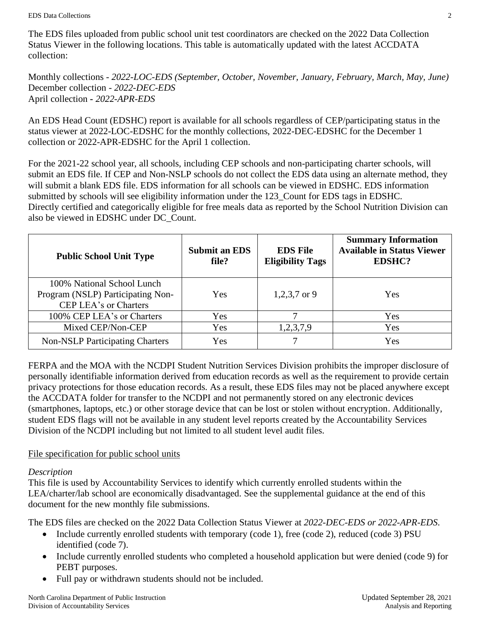The EDS files uploaded from public school unit test coordinators are checked on the 2022 Data Collection Status Viewer in the following locations. This table is automatically updated with the latest ACCDATA collection:

Monthly collections - *2022-LOC-EDS (September, October, November, January, February, March, May, June)* December collection - *2022-DEC-EDS* April collection **-** *2022-APR-EDS*

An EDS Head Count (EDSHC) report is available for all schools regardless of CEP/participating status in the status viewer at 2022-LOC-EDSHC for the monthly collections, 2022-DEC-EDSHC for the December 1 collection or 2022-APR-EDSHC for the April 1 collection.

For the 2021-22 school year, all schools, including CEP schools and non-participating charter schools, will submit an EDS file. If CEP and Non-NSLP schools do not collect the EDS data using an alternate method, they will submit a blank EDS file. EDS information for all schools can be viewed in EDSHC. EDS information submitted by schools will see eligibility information under the 123\_Count for EDS tags in EDSHC. Directly certified and categorically eligible for free meals data as reported by the School Nutrition Division can also be viewed in EDSHC under DC\_Count.

| <b>Public School Unit Type</b>                                                           | <b>Submit an EDS</b><br>file? | <b>EDS File</b><br><b>Eligibility Tags</b> | <b>Summary Information</b><br><b>Available in Status Viewer</b><br><b>EDSHC?</b> |
|------------------------------------------------------------------------------------------|-------------------------------|--------------------------------------------|----------------------------------------------------------------------------------|
| 100% National School Lunch<br>Program (NSLP) Participating Non-<br>CEP LEA's or Charters | <b>Yes</b>                    | 1,2,3,7 or 9                               | Yes                                                                              |
| 100% CEP LEA's or Charters                                                               | Yes                           |                                            | Yes                                                                              |
| Mixed CEP/Non-CEP                                                                        | Yes                           | 1,2,3,7,9                                  | Yes                                                                              |
| <b>Non-NSLP Participating Charters</b>                                                   | Yes                           |                                            | Yes                                                                              |

FERPA and the MOA with the NCDPI Student Nutrition Services Division prohibits the improper disclosure of personally identifiable information derived from education records as well as the requirement to provide certain privacy protections for those education records. As a result, these EDS files may not be placed anywhere except the ACCDATA folder for transfer to the NCDPI and not permanently stored on any electronic devices (smartphones, laptops, etc.) or other storage device that can be lost or stolen without encryption. Additionally, student EDS flags will not be available in any student level reports created by the Accountability Services Division of the NCDPI including but not limited to all student level audit files.

# File specification for public school units

# *Description*

This file is used by Accountability Services to identify which currently enrolled students within the LEA/charter/lab school are economically disadvantaged. See the supplemental guidance at the end of this document for the new monthly file submissions.

The EDS files are checked on the 2022 Data Collection Status Viewer at *2022-DEC-EDS or 2022-APR-EDS*.

- Include currently enrolled students with temporary (code 1), free (code 2), reduced (code 3) PSU identified (code 7).
- Include currently enrolled students who completed a household application but were denied (code 9) for PEBT purposes.
- Full pay or withdrawn students should not be included.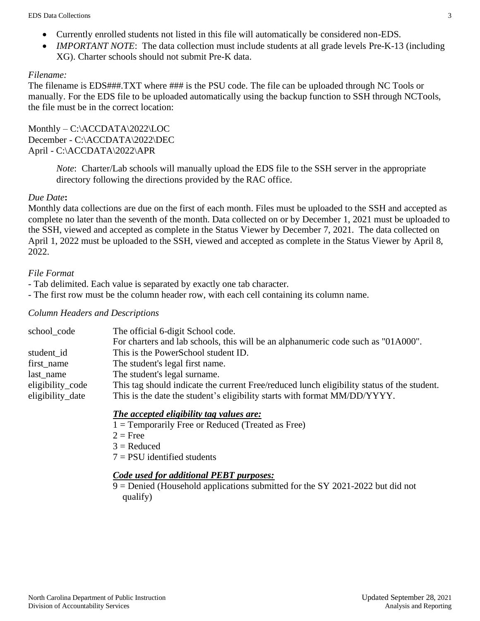- Currently enrolled students not listed in this file will automatically be considered non-EDS.
- *IMPORTANT NOTE*: The data collection must include students at all grade levels Pre-K-13 (including XG). Charter schools should not submit Pre-K data.

### *Filename:*

The filename is EDS###.TXT where ### is the PSU code. The file can be uploaded through NC Tools or manually. For the EDS file to be uploaded automatically using the backup function to SSH through NCTools, the file must be in the correct location:

Monthly – C:\ACCDATA\2022\LOC December - C:\ACCDATA\2022\DEC April - C:\ACCDATA\2022\APR

> *Note*: Charter/Lab schools will manually upload the EDS file to the SSH server in the appropriate directory following the directions provided by the RAC office.

# *Due Date***:**

Monthly data collections are due on the first of each month. Files must be uploaded to the SSH and accepted as complete no later than the seventh of the month. Data collected on or by December 1, 2021 must be uploaded to the SSH, viewed and accepted as complete in the Status Viewer by December 7, 2021. The data collected on April 1, 2022 must be uploaded to the SSH, viewed and accepted as complete in the Status Viewer by April 8, 2022.

### *File Format*

- Tab delimited. Each value is separated by exactly one tab character.

- The first row must be the column header row, with each cell containing its column name.

#### *Column Headers and Descriptions*

| school_code      | The official 6-digit School code.                                                          |
|------------------|--------------------------------------------------------------------------------------------|
|                  | For charters and lab schools, this will be an alphanumeric code such as "01A000".          |
| student id       | This is the PowerSchool student ID.                                                        |
| first_name       | The student's legal first name.                                                            |
| last name        | The student's legal surname.                                                               |
| eligibility_code | This tag should indicate the current Free/reduced lunch eligibility status of the student. |
| eligibility_date | This is the date the student's eligibility starts with format MM/DD/YYYY.                  |

# *The accepted eligibility tag values are:*

- 1 = Temporarily Free or Reduced (Treated as Free)
- $2 =$  Free
- $3 =$ Reduced
- $7 =$  PSU identified students

# *Code used for additional PEBT purposes:*

9 = Denied (Household applications submitted for the SY 2021-2022 but did not qualify)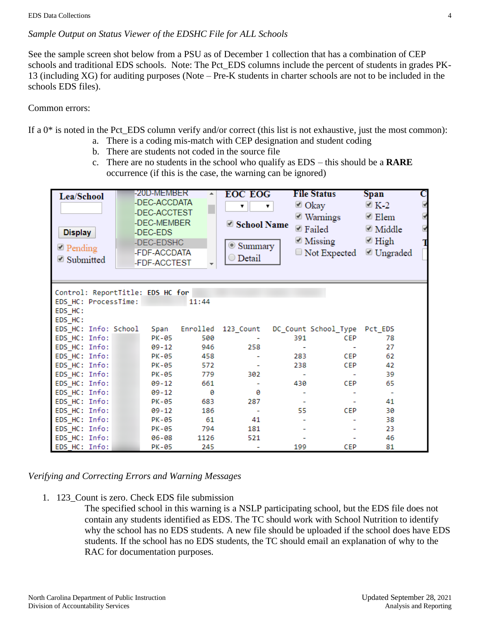### *Sample Output on Status Viewer of the EDSHC File for ALL Schools*

See the sample screen shot below from a PSU as of December 1 collection that has a combination of CEP schools and traditional EDS schools. Note: The Pct\_EDS columns include the percent of students in grades PK-13 (including XG) for auditing purposes (Note – Pre-K students in charter schools are not to be included in the schools EDS files).

#### Common errors:

If a  $0^*$  is noted in the Pct EDS column verify and/or correct (this list is not exhaustive, just the most common):

- a. There is a coding mis-match with CEP designation and student coding
	- b. There are students not coded in the source file
	- c. There are no students in the school who qualify as EDS this should be a **RARE** occurrence (if this is the case, the warning can be ignored)

| Lea/School<br><b>Display</b><br>$\blacksquare$ Pending<br>■ Submitted          | -20D-MEMBER<br>-DEC-ACCDATA<br>-DEC-ACCTEST<br>-DEC-MEMBER<br>-DEC-EDS<br>-DEC-EDSHC<br>-FDF-ACCDATA<br>-FDF-ACCTEST |       | <b>EOC EOG</b><br>▼<br>School Name<br>Summary<br>$\bigcirc$ Detail | $\triangle$ Okay<br>▼<br>■ Failed               | <b>File Status</b><br>■ Warnings<br>$\blacksquare$ Missing<br>$\Box$ Not Expected | Span<br>$\leq K-2$<br>$\triangle$ Elem<br>$\blacksquare$ Middle<br>$\blacksquare$ High<br>■ Ungraded | с |
|--------------------------------------------------------------------------------|----------------------------------------------------------------------------------------------------------------------|-------|--------------------------------------------------------------------|-------------------------------------------------|-----------------------------------------------------------------------------------|------------------------------------------------------------------------------------------------------|---|
| Control: ReportTitle: EDS HC for<br>EDS HC: ProcessTime:<br>EDS_HC:<br>EDS HC: |                                                                                                                      | 11:44 |                                                                    |                                                 |                                                                                   |                                                                                                      |   |
| EDS HC: Info: School                                                           | Span                                                                                                                 |       |                                                                    | Enrolled 123_Count DC_Count School_Type Pct_EDS |                                                                                   |                                                                                                      |   |
| EDS HC: Info:                                                                  | PK-05                                                                                                                | 500   |                                                                    | 391                                             | <b>CEP</b>                                                                        | 78                                                                                                   |   |
| EDS_HC: Info:                                                                  | 09-12                                                                                                                | 946   | 258                                                                |                                                 |                                                                                   | 27                                                                                                   |   |
| EDS HC: Info:                                                                  | PK-05                                                                                                                | 458   |                                                                    | 283                                             | CEP                                                                               | 62                                                                                                   |   |
| EDS_HC: Info:                                                                  | PK-05                                                                                                                | 572   |                                                                    | 238                                             | <b>CEP</b>                                                                        | 42                                                                                                   |   |
| EDS_HC: Info:                                                                  | PK-05                                                                                                                | 779   | 302                                                                |                                                 |                                                                                   | 39                                                                                                   |   |
| EDS HC: Info:                                                                  | 09-12                                                                                                                | 661   |                                                                    | 430                                             | <b>CEP</b>                                                                        | 65                                                                                                   |   |
| EDS HC: Info:                                                                  | 09-12                                                                                                                | ø     | 0                                                                  |                                                 |                                                                                   | $\overline{\phantom{a}}$                                                                             |   |
| EDS HC: Info:                                                                  | PK-05                                                                                                                | 683   | 287                                                                | $\overline{\phantom{a}}$                        |                                                                                   | 41                                                                                                   |   |
| EDS HC: Info:                                                                  | 09-12                                                                                                                | 186   |                                                                    | 55                                              | CEP                                                                               | 30                                                                                                   |   |
| EDS HC: Info:                                                                  | PK-05                                                                                                                | 61    | 41                                                                 |                                                 |                                                                                   | 38                                                                                                   |   |
| EDS HC: Info:                                                                  | PK-05                                                                                                                | 794   | 181                                                                |                                                 |                                                                                   | 23                                                                                                   |   |
| EDS_HC: Info:                                                                  | 06-08                                                                                                                | 1126  | 521                                                                |                                                 |                                                                                   | 46                                                                                                   |   |
| EDS HC: Info:                                                                  | PK-05                                                                                                                | 245   |                                                                    | 199                                             | <b>CEP</b>                                                                        | 81                                                                                                   |   |

*Verifying and Correcting Errors and Warning Messages*

1. 123\_Count is zero. Check EDS file submission

The specified school in this warning is a NSLP participating school, but the EDS file does not contain any students identified as EDS. The TC should work with School Nutrition to identify why the school has no EDS students. A new file should be uploaded if the school does have EDS students. If the school has no EDS students, the TC should email an explanation of why to the RAC for documentation purposes.